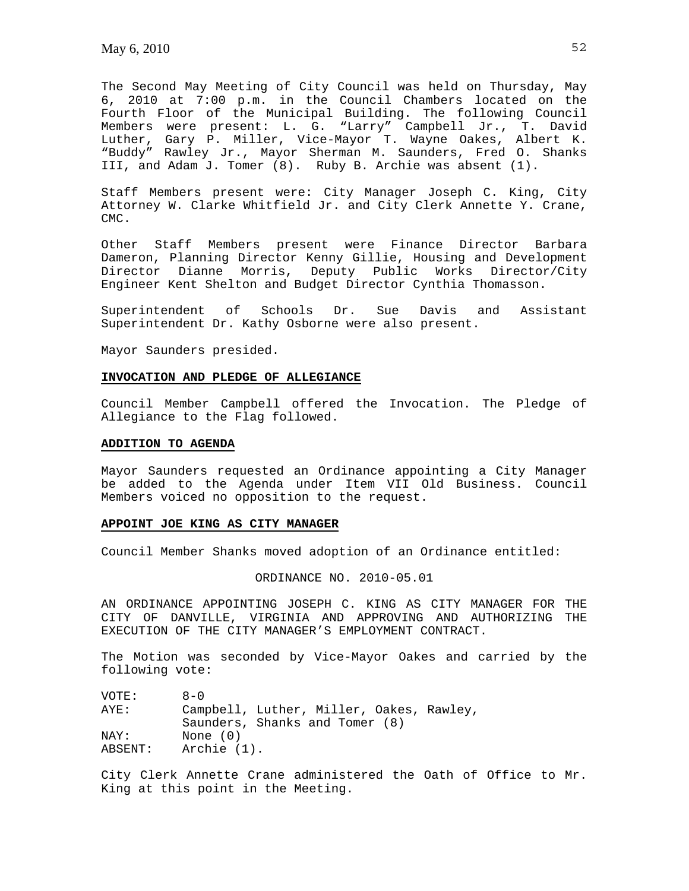The Second May Meeting of City Council was held on Thursday, May 6, 2010 at 7:00 p.m. in the Council Chambers located on the Fourth Floor of the Municipal Building. The following Council Members were present: L. G. "Larry" Campbell Jr., T. David Luther, Gary P. Miller, Vice-Mayor T. Wayne Oakes, Albert K. "Buddy" Rawley Jr., Mayor Sherman M. Saunders, Fred O. Shanks III, and Adam J. Tomer (8). Ruby B. Archie was absent (1).

Staff Members present were: City Manager Joseph C. King, City Attorney W. Clarke Whitfield Jr. and City Clerk Annette Y. Crane, CMC.

Other Staff Members present were Finance Director Barbara Dameron, Planning Director Kenny Gillie, Housing and Development Director Dianne Morris, Deputy Public Works Director/City Engineer Kent Shelton and Budget Director Cynthia Thomasson.

Superintendent of Schools Dr. Sue Davis and Assistant Superintendent Dr. Kathy Osborne were also present.

Mayor Saunders presided.

#### **INVOCATION AND PLEDGE OF ALLEGIANCE**

Council Member Campbell offered the Invocation. The Pledge of Allegiance to the Flag followed.

#### **ADDITION TO AGENDA**

Mayor Saunders requested an Ordinance appointing a City Manager be added to the Agenda under Item VII Old Business. Council Members voiced no opposition to the request.

#### **APPOINT JOE KING AS CITY MANAGER**

Council Member Shanks moved adoption of an Ordinance entitled:

#### ORDINANCE NO. 2010-05.01

AN ORDINANCE APPOINTING JOSEPH C. KING AS CITY MANAGER FOR THE CITY OF DANVILLE, VIRGINIA AND APPROVING AND AUTHORIZING THE EXECUTION OF THE CITY MANAGER'S EMPLOYMENT CONTRACT.

The Motion was seconded by Vice-Mayor Oakes and carried by the following vote:

| VOTE:   | $A - 0$                                  |
|---------|------------------------------------------|
| AYE:    | Campbell, Luther, Miller, Oakes, Rawley, |
|         | Saunders, Shanks and Tomer (8)           |
| NAY:    | None $(0)$                               |
| ABSENT: | Archie (1).                              |

City Clerk Annette Crane administered the Oath of Office to Mr. King at this point in the Meeting.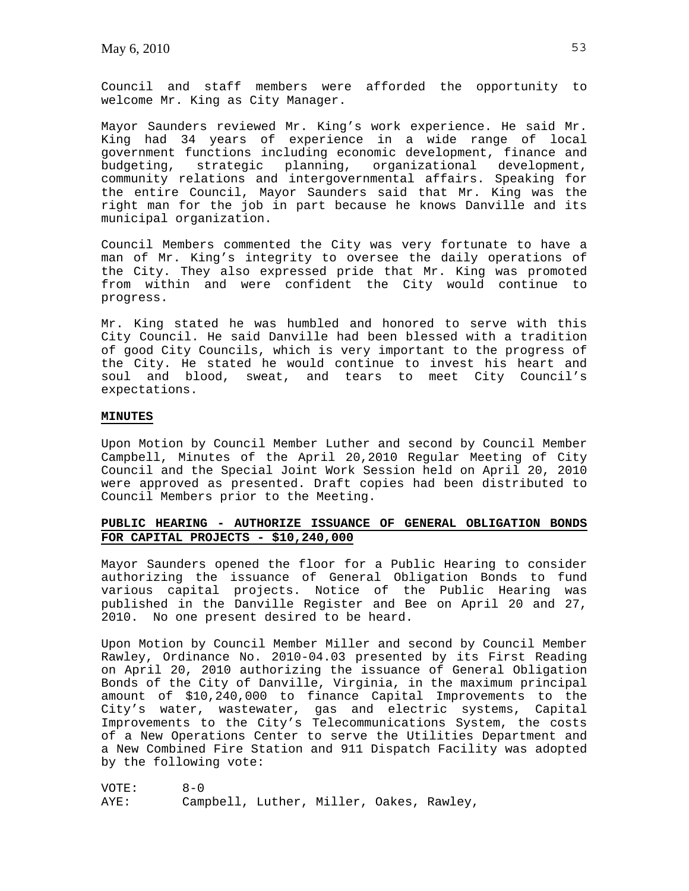Council and staff members were afforded the opportunity to welcome Mr. King as City Manager.

Mayor Saunders reviewed Mr. King's work experience. He said Mr. King had 34 years of experience in a wide range of local government functions including economic development, finance and budgeting, strategic planning, organizational development, community relations and intergovernmental affairs. Speaking for the entire Council, Mayor Saunders said that Mr. King was the right man for the job in part because he knows Danville and its municipal organization.

Council Members commented the City was very fortunate to have a man of Mr. King's integrity to oversee the daily operations of the City. They also expressed pride that Mr. King was promoted from within and were confident the City would continue to progress.

Mr. King stated he was humbled and honored to serve with this City Council. He said Danville had been blessed with a tradition of good City Councils, which is very important to the progress of the City. He stated he would continue to invest his heart and soul and blood, sweat, and tears to meet City Council's expectations.

## **MINUTES**

Upon Motion by Council Member Luther and second by Council Member Campbell, Minutes of the April 20,2010 Regular Meeting of City Council and the Special Joint Work Session held on April 20, 2010 were approved as presented. Draft copies had been distributed to Council Members prior to the Meeting.

# **PUBLIC HEARING - AUTHORIZE ISSUANCE OF GENERAL OBLIGATION BONDS FOR CAPITAL PROJECTS - \$10,240,000**

Mayor Saunders opened the floor for a Public Hearing to consider authorizing the issuance of General Obligation Bonds to fund various capital projects. Notice of the Public Hearing was published in the Danville Register and Bee on April 20 and 27, 2010. No one present desired to be heard.

Upon Motion by Council Member Miller and second by Council Member Rawley, Ordinance No. 2010-04.03 presented by its First Reading on April 20, 2010 authorizing the issuance of General Obligation Bonds of the City of Danville, Virginia, in the maximum principal amount of \$10,240,000 to finance Capital Improvements to the City's water, wastewater, gas and electric systems, Capital Improvements to the City's Telecommunications System, the costs of a New Operations Center to serve the Utilities Department and a New Combined Fire Station and 911 Dispatch Facility was adopted by the following vote:

VOTE: 8-0 AYE: Campbell, Luther, Miller, Oakes, Rawley,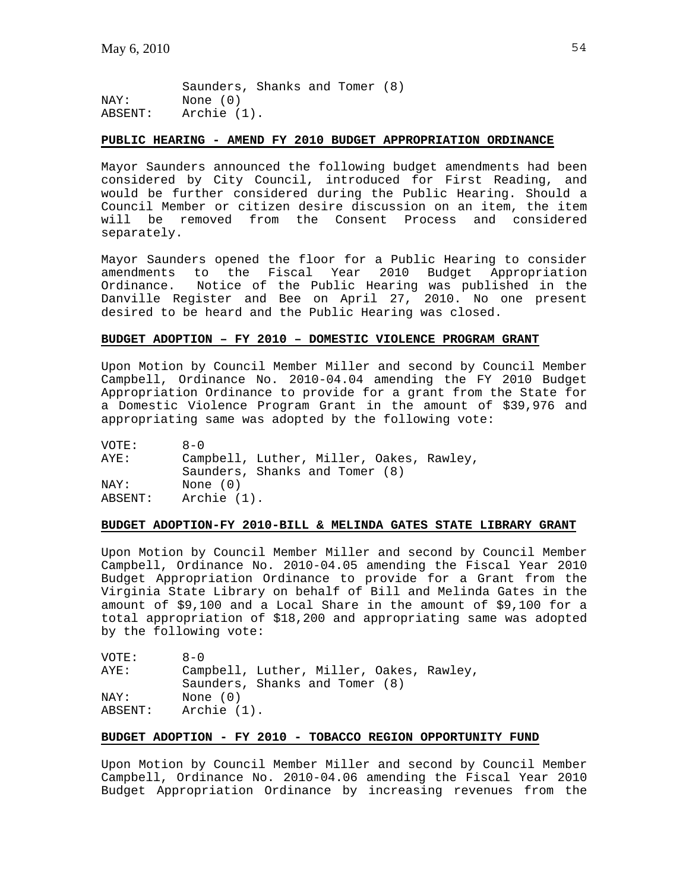Saunders, Shanks and Tomer (8) NAY: None (0) ABSENT: Archie (1).

## **PUBLIC HEARING - AMEND FY 2010 BUDGET APPROPRIATION ORDINANCE**

Mayor Saunders announced the following budget amendments had been considered by City Council, introduced for First Reading, and would be further considered during the Public Hearing. Should a Council Member or citizen desire discussion on an item, the item will be removed from the Consent Process and considered separately.

Mayor Saunders opened the floor for a Public Hearing to consider amendments to the Fiscal Year 2010 Budget Appropriation Ordinance. Notice of the Public Hearing was published in the Danville Register and Bee on April 27, 2010. No one present desired to be heard and the Public Hearing was closed.

## **BUDGET ADOPTION – FY 2010 – DOMESTIC VIOLENCE PROGRAM GRANT**

Upon Motion by Council Member Miller and second by Council Member Campbell, Ordinance No. 2010-04.04 amending the FY 2010 Budget Appropriation Ordinance to provide for a grant from the State for a Domestic Violence Program Grant in the amount of \$39,976 and appropriating same was adopted by the following vote:

| VOTE:   | $A - 0$                                  |
|---------|------------------------------------------|
| AYE:    | Campbell, Luther, Miller, Oakes, Rawley, |
|         | Saunders, Shanks and Tomer (8)           |
| NAY:    | None $(0)$                               |
| ABSENT: | Archie (1).                              |

#### **BUDGET ADOPTION-FY 2010-BILL & MELINDA GATES STATE LIBRARY GRANT**

Upon Motion by Council Member Miller and second by Council Member Campbell, Ordinance No. 2010-04.05 amending the Fiscal Year 2010 Budget Appropriation Ordinance to provide for a Grant from the Virginia State Library on behalf of Bill and Melinda Gates in the amount of \$9,100 and a Local Share in the amount of \$9,100 for a total appropriation of \$18,200 and appropriating same was adopted by the following vote:

| VOTE:   | $R - N$                                  |
|---------|------------------------------------------|
| AYE:    | Campbell, Luther, Miller, Oakes, Rawley, |
|         | Saunders, Shanks and Tomer (8)           |
| NAY:    | None (0)                                 |
| ABSENT: | Archie (1).                              |

# **BUDGET ADOPTION - FY 2010 - TOBACCO REGION OPPORTUNITY FUND**

Upon Motion by Council Member Miller and second by Council Member Campbell, Ordinance No. 2010-04.06 amending the Fiscal Year 2010 Budget Appropriation Ordinance by increasing revenues from the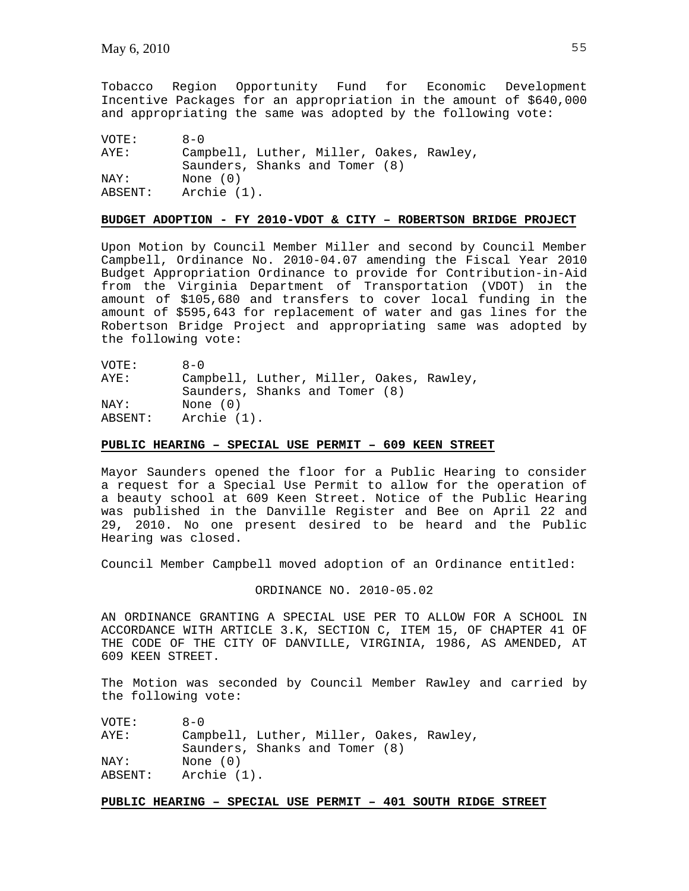Tobacco Region Opportunity Fund for Economic Development Incentive Packages for an appropriation in the amount of \$640,000 and appropriating the same was adopted by the following vote:

VOTE: 8-0 AYE: Campbell, Luther, Miller, Oakes, Rawley, Saunders, Shanks and Tomer (8) NAY: None (0) ABSENT: Archie (1).

## **BUDGET ADOPTION - FY 2010-VDOT & CITY – ROBERTSON BRIDGE PROJECT**

Upon Motion by Council Member Miller and second by Council Member Campbell, Ordinance No. 2010-04.07 amending the Fiscal Year 2010 Budget Appropriation Ordinance to provide for Contribution-in-Aid from the Virginia Department of Transportation (VDOT) in the amount of \$105,680 and transfers to cover local funding in the amount of \$595,643 for replacement of water and gas lines for the Robertson Bridge Project and appropriating same was adopted by the following vote:

VOTE: 8-0 AYE: Campbell, Luther, Miller, Oakes, Rawley, Saunders, Shanks and Tomer (8) NAY: None (0) ABSENT: Archie (1).

#### **PUBLIC HEARING – SPECIAL USE PERMIT – 609 KEEN STREET**

Mayor Saunders opened the floor for a Public Hearing to consider a request for a Special Use Permit to allow for the operation of a beauty school at 609 Keen Street. Notice of the Public Hearing was published in the Danville Register and Bee on April 22 and 29, 2010. No one present desired to be heard and the Public Hearing was closed.

Council Member Campbell moved adoption of an Ordinance entitled:

ORDINANCE NO. 2010-05.02

AN ORDINANCE GRANTING A SPECIAL USE PER TO ALLOW FOR A SCHOOL IN ACCORDANCE WITH ARTICLE 3.K, SECTION C, ITEM 15, OF CHAPTER 41 OF THE CODE OF THE CITY OF DANVILLE, VIRGINIA, 1986, AS AMENDED, AT 609 KEEN STREET.

The Motion was seconded by Council Member Rawley and carried by the following vote:

| VOTE:   | $A - 0$                                  |
|---------|------------------------------------------|
| AYE:    | Campbell, Luther, Miller, Oakes, Rawley, |
|         | Saunders, Shanks and Tomer (8)           |
| NAY:    | None $(0)$                               |
| ABSENT: | Archie (1).                              |

## **PUBLIC HEARING – SPECIAL USE PERMIT – 401 SOUTH RIDGE STREET**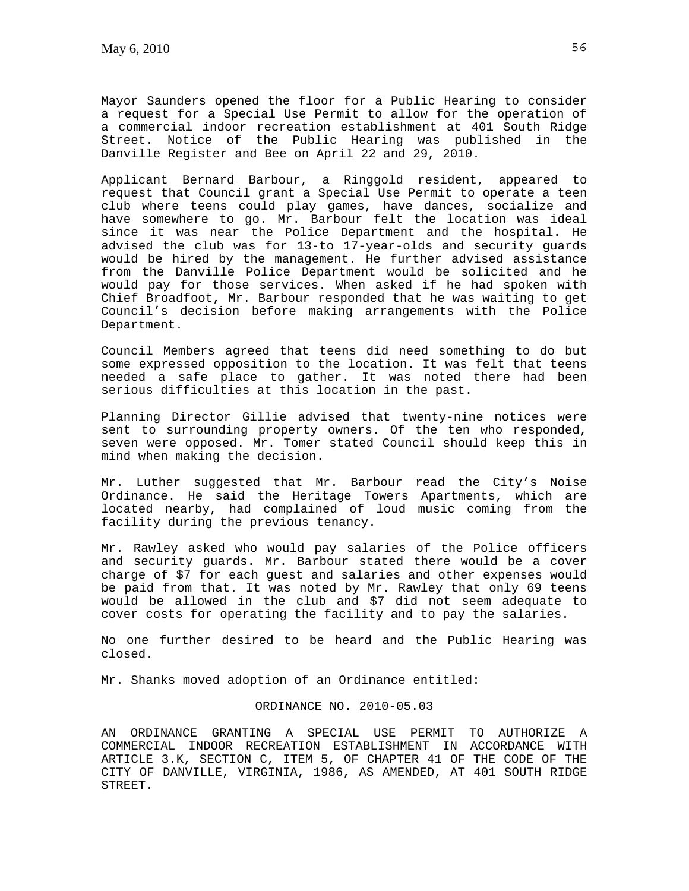Mayor Saunders opened the floor for a Public Hearing to consider a request for a Special Use Permit to allow for the operation of a commercial indoor recreation establishment at 401 South Ridge Street. Notice of the Public Hearing was published in the Danville Register and Bee on April 22 and 29, 2010.

Applicant Bernard Barbour, a Ringgold resident, appeared to request that Council grant a Special Use Permit to operate a teen club where teens could play games, have dances, socialize and have somewhere to go. Mr. Barbour felt the location was ideal since it was near the Police Department and the hospital. He advised the club was for 13-to 17-year-olds and security guards would be hired by the management. He further advised assistance from the Danville Police Department would be solicited and he would pay for those services. When asked if he had spoken with Chief Broadfoot, Mr. Barbour responded that he was waiting to get Council's decision before making arrangements with the Police Department.

Council Members agreed that teens did need something to do but some expressed opposition to the location. It was felt that teens needed a safe place to gather. It was noted there had been serious difficulties at this location in the past.

Planning Director Gillie advised that twenty-nine notices were sent to surrounding property owners. Of the ten who responded, seven were opposed. Mr. Tomer stated Council should keep this in mind when making the decision.

Mr. Luther suggested that Mr. Barbour read the City's Noise Ordinance. He said the Heritage Towers Apartments, which are located nearby, had complained of loud music coming from the facility during the previous tenancy.

Mr. Rawley asked who would pay salaries of the Police officers and security guards. Mr. Barbour stated there would be a cover charge of \$7 for each guest and salaries and other expenses would be paid from that. It was noted by Mr. Rawley that only 69 teens would be allowed in the club and \$7 did not seem adequate to cover costs for operating the facility and to pay the salaries.

No one further desired to be heard and the Public Hearing was closed.

Mr. Shanks moved adoption of an Ordinance entitled:

# ORDINANCE NO. 2010-05.03

AN ORDINANCE GRANTING A SPECIAL USE PERMIT TO AUTHORIZE A COMMERCIAL INDOOR RECREATION ESTABLISHMENT IN ACCORDANCE WITH ARTICLE 3.K, SECTION C, ITEM 5, OF CHAPTER 41 OF THE CODE OF THE CITY OF DANVILLE, VIRGINIA, 1986, AS AMENDED, AT 401 SOUTH RIDGE STREET.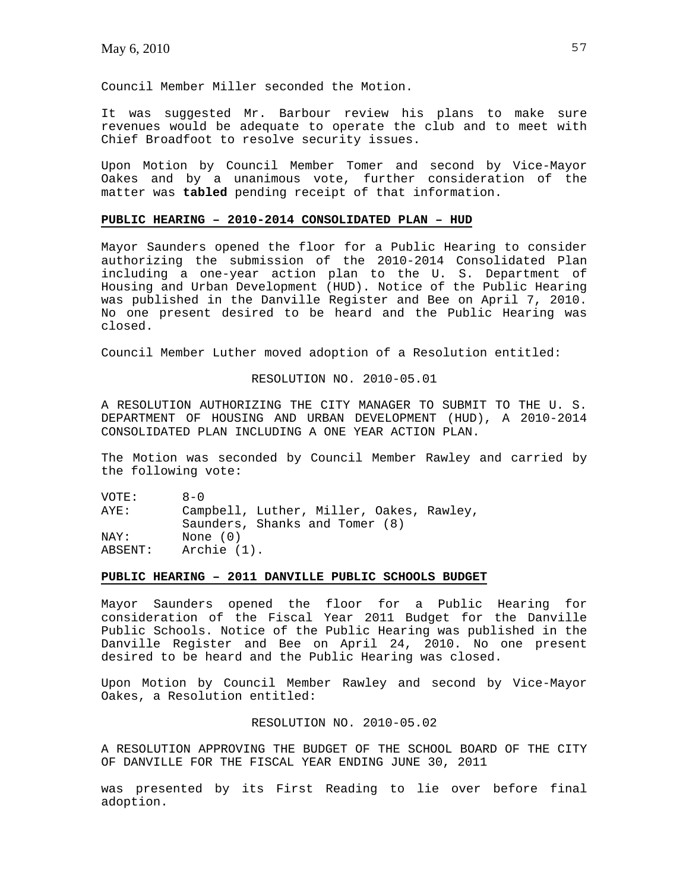Council Member Miller seconded the Motion.

It was suggested Mr. Barbour review his plans to make sure revenues would be adequate to operate the club and to meet with Chief Broadfoot to resolve security issues.

Upon Motion by Council Member Tomer and second by Vice-Mayor Oakes and by a unanimous vote, further consideration of the matter was **tabled** pending receipt of that information.

## **PUBLIC HEARING – 2010-2014 CONSOLIDATED PLAN – HUD**

Mayor Saunders opened the floor for a Public Hearing to consider authorizing the submission of the 2010-2014 Consolidated Plan including a one-year action plan to the U. S. Department of Housing and Urban Development (HUD). Notice of the Public Hearing was published in the Danville Register and Bee on April 7, 2010. No one present desired to be heard and the Public Hearing was closed.

Council Member Luther moved adoption of a Resolution entitled:

## RESOLUTION NO. 2010-05.01

A RESOLUTION AUTHORIZING THE CITY MANAGER TO SUBMIT TO THE U. S. DEPARTMENT OF HOUSING AND URBAN DEVELOPMENT (HUD), A 2010-2014 CONSOLIDATED PLAN INCLUDING A ONE YEAR ACTION PLAN.

The Motion was seconded by Council Member Rawley and carried by the following vote:

VOTE: 8-0 AYE: Campbell, Luther, Miller, Oakes, Rawley, Saunders, Shanks and Tomer (8) NAY: None (0) ABSENT: Archie (1).

## **PUBLIC HEARING – 2011 DANVILLE PUBLIC SCHOOLS BUDGET**

Mayor Saunders opened the floor for a Public Hearing for consideration of the Fiscal Year 2011 Budget for the Danville Public Schools. Notice of the Public Hearing was published in the Danville Register and Bee on April 24, 2010. No one present desired to be heard and the Public Hearing was closed.

Upon Motion by Council Member Rawley and second by Vice-Mayor Oakes, a Resolution entitled:

# RESOLUTION NO. 2010-05.02

A RESOLUTION APPROVING THE BUDGET OF THE SCHOOL BOARD OF THE CITY OF DANVILLE FOR THE FISCAL YEAR ENDING JUNE 30, 2011

was presented by its First Reading to lie over before final adoption.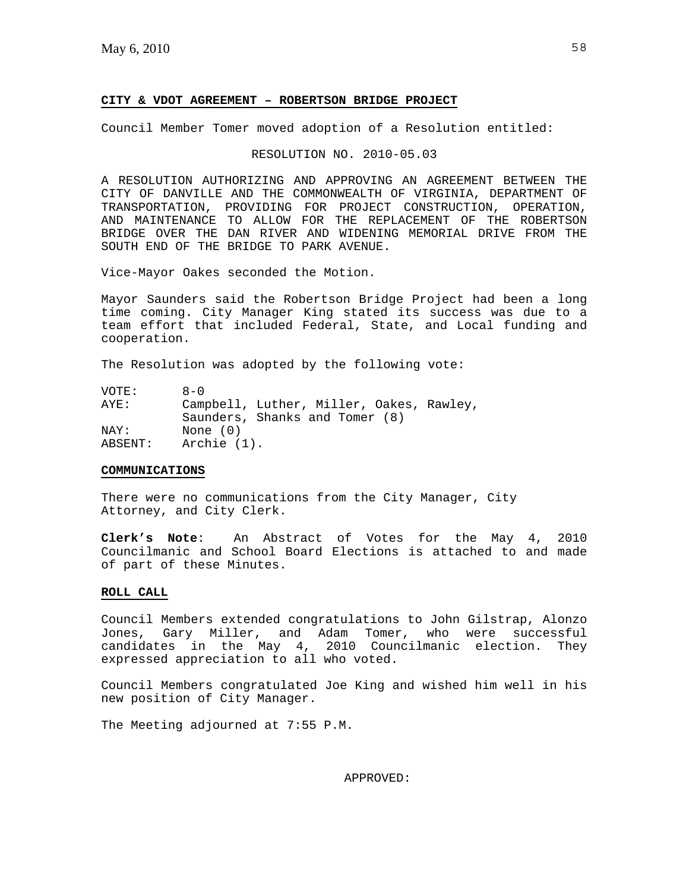#### **CITY & VDOT AGREEMENT – ROBERTSON BRIDGE PROJECT**

Council Member Tomer moved adoption of a Resolution entitled:

### RESOLUTION NO. 2010-05.03

A RESOLUTION AUTHORIZING AND APPROVING AN AGREEMENT BETWEEN THE CITY OF DANVILLE AND THE COMMONWEALTH OF VIRGINIA, DEPARTMENT OF TRANSPORTATION, PROVIDING FOR PROJECT CONSTRUCTION, OPERATION, AND MAINTENANCE TO ALLOW FOR THE REPLACEMENT OF THE ROBERTSON BRIDGE OVER THE DAN RIVER AND WIDENING MEMORIAL DRIVE FROM THE SOUTH END OF THE BRIDGE TO PARK AVENUE.

Vice-Mayor Oakes seconded the Motion.

Mayor Saunders said the Robertson Bridge Project had been a long time coming. City Manager King stated its success was due to a team effort that included Federal, State, and Local funding and cooperation.

The Resolution was adopted by the following vote:

| VOTE:   | $R - N$                                  |
|---------|------------------------------------------|
| AYE:    | Campbell, Luther, Miller, Oakes, Rawley, |
|         | Saunders, Shanks and Tomer (8)           |
| NAY:    | None $(0)$                               |
| ABSENT: | Archie (1).                              |

#### **COMMUNICATIONS**

There were no communications from the City Manager, City Attorney, and City Clerk.

**Clerk's Note**: An Abstract of Votes for the May 4, 2010 Councilmanic and School Board Elections is attached to and made of part of these Minutes.

# **ROLL CALL**

Council Members extended congratulations to John Gilstrap, Alonzo Jones, Gary Miller, and Adam Tomer, who were successful candidates in the May 4, 2010 Councilmanic election. They expressed appreciation to all who voted.

Council Members congratulated Joe King and wished him well in his new position of City Manager.

The Meeting adjourned at 7:55 P.M.

APPROVED: